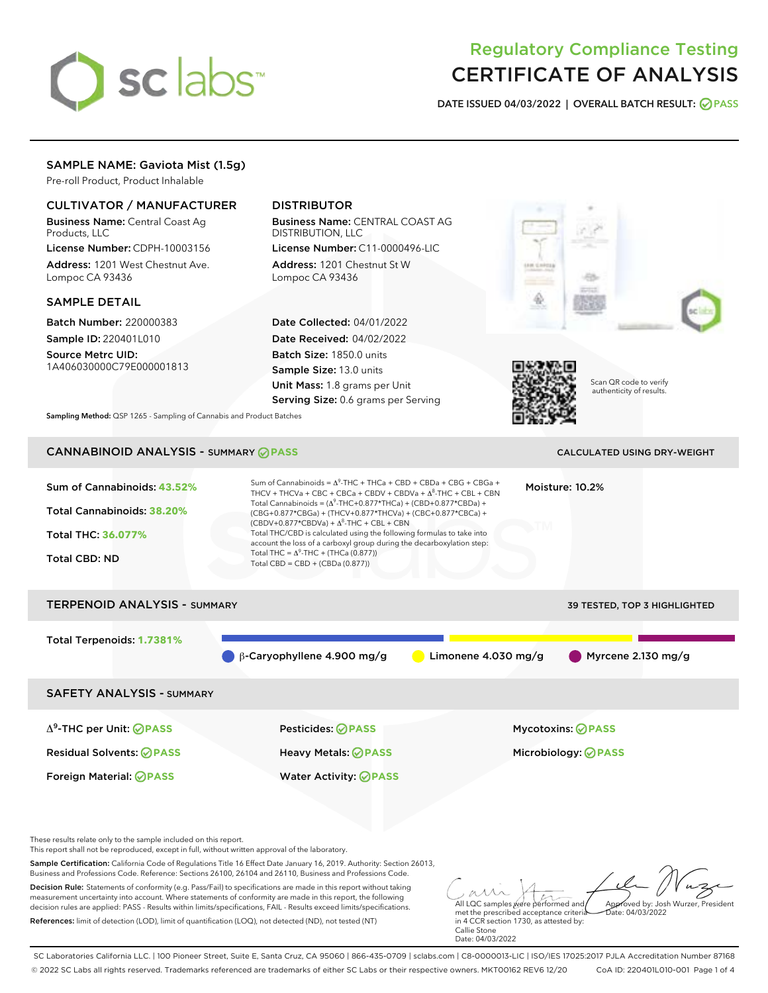# sclabs<sup>\*</sup>

# Regulatory Compliance Testing CERTIFICATE OF ANALYSIS

DATE ISSUED 04/03/2022 | OVERALL BATCH RESULT: @ PASS

# SAMPLE NAME: Gaviota Mist (1.5g)

Pre-roll Product, Product Inhalable

# CULTIVATOR / MANUFACTURER

Business Name: Central Coast Ag Products, LLC

License Number: CDPH-10003156 Address: 1201 West Chestnut Ave. Lompoc CA 93436

# SAMPLE DETAIL

Batch Number: 220000383 Sample ID: 220401L010

Source Metrc UID: 1A406030000C79E000001813

# DISTRIBUTOR

Business Name: CENTRAL COAST AG DISTRIBUTION, LLC

License Number: C11-0000496-LIC Address: 1201 Chestnut St W Lompoc CA 93436

Date Collected: 04/01/2022 Date Received: 04/02/2022 Batch Size: 1850.0 units Sample Size: 13.0 units Unit Mass: 1.8 grams per Unit Serving Size: 0.6 grams per Serving





Scan QR code to verify authenticity of results.

Sampling Method: QSP 1265 - Sampling of Cannabis and Product Batches

# CANNABINOID ANALYSIS - SUMMARY **PASS** CALCULATED USING DRY-WEIGHT

| Sum of Cannabinoids: 43.52%<br>Total Cannabinoids: 38.20%<br>Total THC: 36.077%<br><b>Total CBD: ND</b> | Sum of Cannabinoids = $\Delta^{9}$ -THC + THCa + CBD + CBDa + CBG + CBGa +<br>THCV + THCVa + CBC + CBCa + CBDV + CBDVa + $\Delta^8$ -THC + CBL + CBN<br>Total Cannabinoids = $(\Delta^9$ -THC+0.877*THCa) + (CBD+0.877*CBDa) +<br>(CBG+0.877*CBGa) + (THCV+0.877*THCVa) + (CBC+0.877*CBCa) +<br>$(CBDV+0.877*CBDVa) + \Delta^8$ -THC + CBL + CBN<br>Total THC/CBD is calculated using the following formulas to take into<br>account the loss of a carboxyl group during the decarboxylation step:<br>Total THC = $\Delta^9$ -THC + (THCa (0.877))<br>Total CBD = CBD + (CBDa (0.877)) |                       | Moisture: 10.2%                     |  |
|---------------------------------------------------------------------------------------------------------|----------------------------------------------------------------------------------------------------------------------------------------------------------------------------------------------------------------------------------------------------------------------------------------------------------------------------------------------------------------------------------------------------------------------------------------------------------------------------------------------------------------------------------------------------------------------------------------|-----------------------|-------------------------------------|--|
| <b>TERPENOID ANALYSIS - SUMMARY</b>                                                                     |                                                                                                                                                                                                                                                                                                                                                                                                                                                                                                                                                                                        |                       | <b>39 TESTED, TOP 3 HIGHLIGHTED</b> |  |
| Total Terpenoids: 1.7381%                                                                               | $\beta$ -Caryophyllene 4.900 mg/g                                                                                                                                                                                                                                                                                                                                                                                                                                                                                                                                                      | Limonene $4.030$ mg/g | Myrcene $2.130$ mg/g                |  |
| <b>SAFETY ANALYSIS - SUMMARY</b>                                                                        |                                                                                                                                                                                                                                                                                                                                                                                                                                                                                                                                                                                        |                       |                                     |  |
| $\Delta^9$ -THC per Unit: <b>PASS</b>                                                                   | <b>Pesticides: ⊘ PASS</b>                                                                                                                                                                                                                                                                                                                                                                                                                                                                                                                                                              |                       | <b>Mycotoxins: ⊘PASS</b>            |  |
| <b>Residual Solvents: ⊘PASS</b>                                                                         | Heavy Metals: <b>OPASS</b>                                                                                                                                                                                                                                                                                                                                                                                                                                                                                                                                                             |                       | Microbiology: <b>⊘PASS</b>          |  |
| <b>Foreign Material: ⊘PASS</b>                                                                          | <b>Water Activity: ⊘PASS</b>                                                                                                                                                                                                                                                                                                                                                                                                                                                                                                                                                           |                       |                                     |  |
|                                                                                                         |                                                                                                                                                                                                                                                                                                                                                                                                                                                                                                                                                                                        |                       |                                     |  |

These results relate only to the sample included on this report.

This report shall not be reproduced, except in full, without written approval of the laboratory.

Sample Certification: California Code of Regulations Title 16 Effect Date January 16, 2019. Authority: Section 26013, Business and Professions Code. Reference: Sections 26100, 26104 and 26110, Business and Professions Code.

Decision Rule: Statements of conformity (e.g. Pass/Fail) to specifications are made in this report without taking measurement uncertainty into account. Where statements of conformity are made in this report, the following decision rules are applied: PASS - Results within limits/specifications, FAIL - Results exceed limits/specifications. References: limit of detection (LOD), limit of quantification (LOQ), not detected (ND), not tested (NT)

All LQC samples were performed and Approved by: Josh Wurzer, President  $\frac{1}{2}$  04/03/2022

met the prescribed acceptance criteria in 4 CCR section 1730, as attested by: Callie Stone Date: 04/03/2022

SC Laboratories California LLC. | 100 Pioneer Street, Suite E, Santa Cruz, CA 95060 | 866-435-0709 | sclabs.com | C8-0000013-LIC | ISO/IES 17025:2017 PJLA Accreditation Number 87168 © 2022 SC Labs all rights reserved. Trademarks referenced are trademarks of either SC Labs or their respective owners. MKT00162 REV6 12/20 CoA ID: 220401L010-001 Page 1 of 4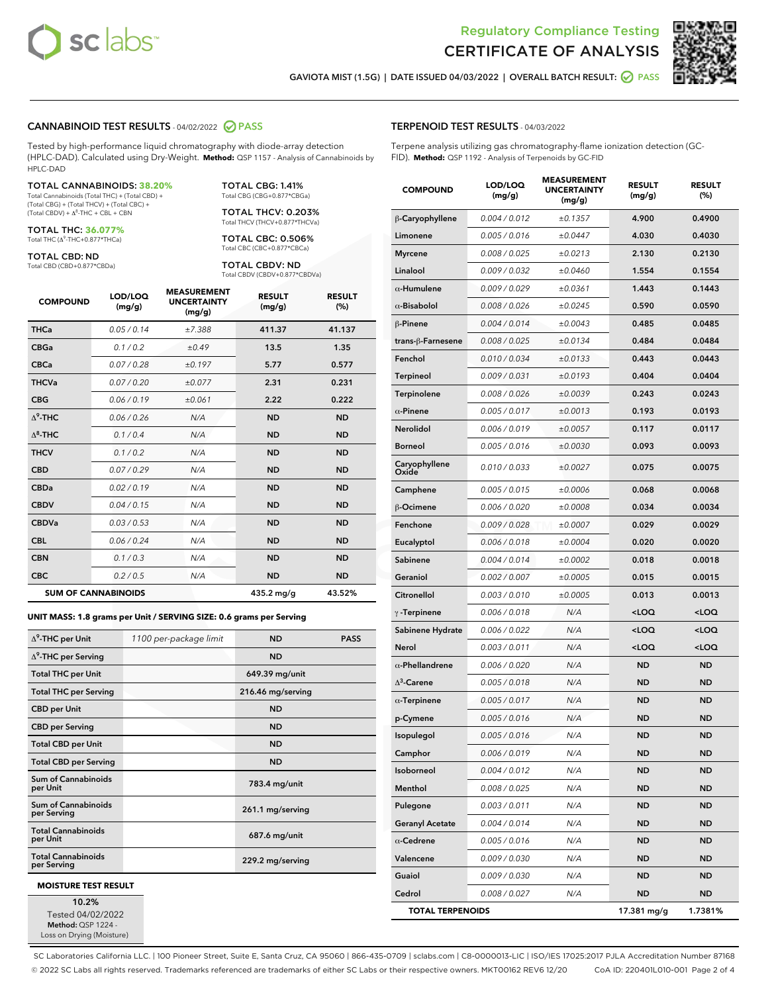



GAVIOTA MIST (1.5G) | DATE ISSUED 04/03/2022 | OVERALL BATCH RESULT: @ PASS

### CANNABINOID TEST RESULTS - 04/02/2022 2 PASS

Tested by high-performance liquid chromatography with diode-array detection (HPLC-DAD). Calculated using Dry-Weight. **Method:** QSP 1157 - Analysis of Cannabinoids by HPLC-DAD

#### TOTAL CANNABINOIDS: **38.20%**

Total Cannabinoids (Total THC) + (Total CBD) + (Total CBG) + (Total THCV) + (Total CBC) +<br>(Total CBDV) + Δ<sup>8</sup>-THC + CBL + CBN

TOTAL THC: **36.077%**

Total THC (Δ<sup>9</sup> -THC+0.877\*THCa)

TOTAL CBD: ND

Total CBD (CBD+0.877\*CBDa)

TOTAL CBG: 1.41% Total CBG (CBG+0.877\*CBGa)

TOTAL THCV: 0.203% Total THCV (THCV+0.877\*THCVa)

TOTAL CBC: 0.506% Total CBC (CBC+0.877\*CBCa)

TOTAL CBDV: ND Total CBDV (CBDV+0.877\*CBDVa)

| <b>COMPOUND</b>  | LOD/LOQ<br>(mg/g)          | <b>MEASUREMENT</b><br><b>UNCERTAINTY</b><br>(mg/g) | <b>RESULT</b><br>(mg/g) | <b>RESULT</b><br>(%) |
|------------------|----------------------------|----------------------------------------------------|-------------------------|----------------------|
| <b>THCa</b>      | 0.05 / 0.14                | ±7.388                                             | 411.37                  | 41.137               |
| <b>CBGa</b>      | 0.1 / 0.2                  | ±0.49                                              | 13.5                    | 1.35                 |
| <b>CBCa</b>      | 0.07 / 0.28                | ±0.197                                             | 5.77                    | 0.577                |
| <b>THCVa</b>     | 0.07 / 0.20                | ±0.077                                             | 2.31                    | 0.231                |
| <b>CBG</b>       | 0.06/0.19                  | ±0.061                                             | 2.22                    | 0.222                |
| $\Lambda^9$ -THC | 0.06 / 0.26                | N/A                                                | <b>ND</b>               | <b>ND</b>            |
| $\Delta^8$ -THC  | 0.1/0.4                    | N/A                                                | <b>ND</b>               | <b>ND</b>            |
| <b>THCV</b>      | 0.1 / 0.2                  | N/A                                                | <b>ND</b>               | <b>ND</b>            |
| <b>CBD</b>       | 0.07/0.29                  | N/A                                                | <b>ND</b>               | <b>ND</b>            |
| <b>CBDa</b>      | 0.02/0.19                  | N/A                                                | <b>ND</b>               | <b>ND</b>            |
| <b>CBDV</b>      | 0.04 / 0.15                | N/A                                                | <b>ND</b>               | <b>ND</b>            |
| <b>CBDVa</b>     | 0.03/0.53                  | N/A                                                | <b>ND</b>               | <b>ND</b>            |
| <b>CBL</b>       | 0.06 / 0.24                | N/A                                                | <b>ND</b>               | <b>ND</b>            |
| <b>CBN</b>       | 0.1 / 0.3                  | N/A                                                | <b>ND</b>               | <b>ND</b>            |
| <b>CBC</b>       | 0.2 / 0.5                  | N/A                                                | ND.                     | <b>ND</b>            |
|                  | <b>SUM OF CANNABINOIDS</b> |                                                    | $435.2 \text{ ma/q}$    | 43.52%               |

**UNIT MASS: 1.8 grams per Unit / SERVING SIZE: 0.6 grams per Serving**

| $\Delta^9$ -THC per Unit                 | 1100 per-package limit | <b>ND</b>         | <b>PASS</b> |
|------------------------------------------|------------------------|-------------------|-------------|
| $\Delta^9$ -THC per Serving              |                        | <b>ND</b>         |             |
| <b>Total THC per Unit</b>                |                        | 649.39 mg/unit    |             |
| <b>Total THC per Serving</b>             |                        | 216.46 mg/serving |             |
| <b>CBD</b> per Unit                      |                        | <b>ND</b>         |             |
| <b>CBD per Serving</b>                   |                        | <b>ND</b>         |             |
| <b>Total CBD per Unit</b>                |                        | <b>ND</b>         |             |
| <b>Total CBD per Serving</b>             |                        | <b>ND</b>         |             |
| Sum of Cannabinoids<br>per Unit          |                        | 783.4 mg/unit     |             |
| Sum of Cannabinoids<br>per Serving       |                        | 261.1 mg/serving  |             |
| <b>Total Cannabinoids</b><br>per Unit    |                        | 687.6 mg/unit     |             |
| <b>Total Cannabinoids</b><br>per Serving |                        | 229.2 mg/serving  |             |
| <b>MOISTURE TEST RESULT</b>              |                        |                   |             |

10.2% Tested 04/02/2022

Method: QSP 1224 -Loss on Drying (Moisture)

#### TERPENOID TEST RESULTS - 04/03/2022

Terpene analysis utilizing gas chromatography-flame ionization detection (GC-FID). **Method:** QSP 1192 - Analysis of Terpenoids by GC-FID

| <b>COMPOUND</b>         | LOD/LOQ<br>(mg/g) | <b>MEASUREMENT</b><br><b>UNCERTAINTY</b><br>(mg/g) | <b>RESULT</b><br>(mg/g)                         | <b>RESULT</b><br>$(\%)$ |
|-------------------------|-------------------|----------------------------------------------------|-------------------------------------------------|-------------------------|
| β-Caryophyllene         | 0.004 / 0.012     | ±0.1357                                            | 4.900                                           | 0.4900                  |
| Limonene                | 0.005 / 0.016     | ±0.0447                                            | 4.030                                           | 0.4030                  |
| <b>Myrcene</b>          | 0.008 / 0.025     | ±0.0213                                            | 2.130                                           | 0.2130                  |
| Linalool                | 0.009 / 0.032     | ±0.0460                                            | 1.554                                           | 0.1554                  |
| $\alpha$ -Humulene      | 0.009 / 0.029     | ±0.0361                                            | 1.443                                           | 0.1443                  |
| $\alpha$ -Bisabolol     | 0.008 / 0.026     | ±0.0245                                            | 0.590                                           | 0.0590                  |
| $\beta$ -Pinene         | 0.004 / 0.014     | ±0.0043                                            | 0.485                                           | 0.0485                  |
| trans-ß-Farnesene       | 0.008 / 0.025     | ±0.0134                                            | 0.484                                           | 0.0484                  |
| Fenchol                 | 0.010 / 0.034     | ±0.0133                                            | 0.443                                           | 0.0443                  |
| Terpineol               | 0.009 / 0.031     | ±0.0193                                            | 0.404                                           | 0.0404                  |
| Terpinolene             | 0.008 / 0.026     | ±0.0039                                            | 0.243                                           | 0.0243                  |
| $\alpha$ -Pinene        | 0.005 / 0.017     | ±0.0013                                            | 0.193                                           | 0.0193                  |
| Nerolidol               | 0.006 / 0.019     | ±0.0057                                            | 0.117                                           | 0.0117                  |
| <b>Borneol</b>          | 0.005 / 0.016     | ±0.0030                                            | 0.093                                           | 0.0093                  |
| Caryophyllene<br>Oxide  | 0.010 / 0.033     | ±0.0027                                            | 0.075                                           | 0.0075                  |
| Camphene                | 0.005 / 0.015     | ±0.0006                                            | 0.068                                           | 0.0068                  |
| β-Ocimene               | 0.006 / 0.020     | ±0.0008                                            | 0.034                                           | 0.0034                  |
| Fenchone                | 0.009 / 0.028     | ±0.0007                                            | 0.029                                           | 0.0029                  |
| Eucalyptol              | 0.006 / 0.018     | ±0.0004                                            | 0.020                                           | 0.0020                  |
| Sabinene                | 0.004 / 0.014     | ±0.0002                                            | 0.018                                           | 0.0018                  |
| Geraniol                | 0.002 / 0.007     | ±0.0005                                            | 0.015                                           | 0.0015                  |
| Citronellol             | 0.003 / 0.010     | ±0.0005                                            | 0.013                                           | 0.0013                  |
| $\gamma$ -Terpinene     | 0.006 / 0.018     | N/A                                                | <loq< th=""><th><loq< th=""></loq<></th></loq<> | <loq< th=""></loq<>     |
| Sabinene Hydrate        | 0.006 / 0.022     | N/A                                                | <loq< th=""><th><loq< th=""></loq<></th></loq<> | <loq< th=""></loq<>     |
| Nerol                   | 0.003 / 0.011     | N/A                                                | <loq< th=""><th><loq< th=""></loq<></th></loq<> | <loq< th=""></loq<>     |
| $\alpha$ -Phellandrene  | 0.006 / 0.020     | N/A                                                | <b>ND</b>                                       | ND                      |
| $\Delta^3$ -Carene      | 0.005 / 0.018     | N/A                                                | ND                                              | <b>ND</b>               |
| $\alpha$ -Terpinene     | 0.005 / 0.017     | N/A                                                | <b>ND</b>                                       | <b>ND</b>               |
| p-Cymene                | 0.005 / 0.016     | N/A                                                | <b>ND</b>                                       | ND                      |
| Isopulegol              | 0.005 / 0.016     | N/A                                                | <b>ND</b>                                       | <b>ND</b>               |
| Camphor                 | 0.006 / 0.019     | N/A                                                | ND                                              | ND                      |
| Isoborneol              | 0.004 / 0.012     | N/A                                                | ND                                              | ND                      |
| Menthol                 | 0.008 / 0.025     | N/A                                                | ND                                              | ND                      |
| Pulegone                | 0.003 / 0.011     | N/A                                                | ND                                              | ND                      |
| <b>Geranyl Acetate</b>  | 0.004 / 0.014     | N/A                                                | ND                                              | ND                      |
| $\alpha$ -Cedrene       | 0.005 / 0.016     | N/A                                                | ND                                              | ND                      |
| Valencene               | 0.009 / 0.030     | N/A                                                | ND                                              | ND                      |
| Guaiol                  | 0.009 / 0.030     | N/A                                                | ND                                              | ND                      |
| Cedrol                  | 0.008 / 0.027     | N/A                                                | <b>ND</b>                                       | ND                      |
| <b>TOTAL TERPENOIDS</b> |                   |                                                    | 17.381 mg/g                                     | 1.7381%                 |

SC Laboratories California LLC. | 100 Pioneer Street, Suite E, Santa Cruz, CA 95060 | 866-435-0709 | sclabs.com | C8-0000013-LIC | ISO/IES 17025:2017 PJLA Accreditation Number 87168 © 2022 SC Labs all rights reserved. Trademarks referenced are trademarks of either SC Labs or their respective owners. MKT00162 REV6 12/20 CoA ID: 220401L010-001 Page 2 of 4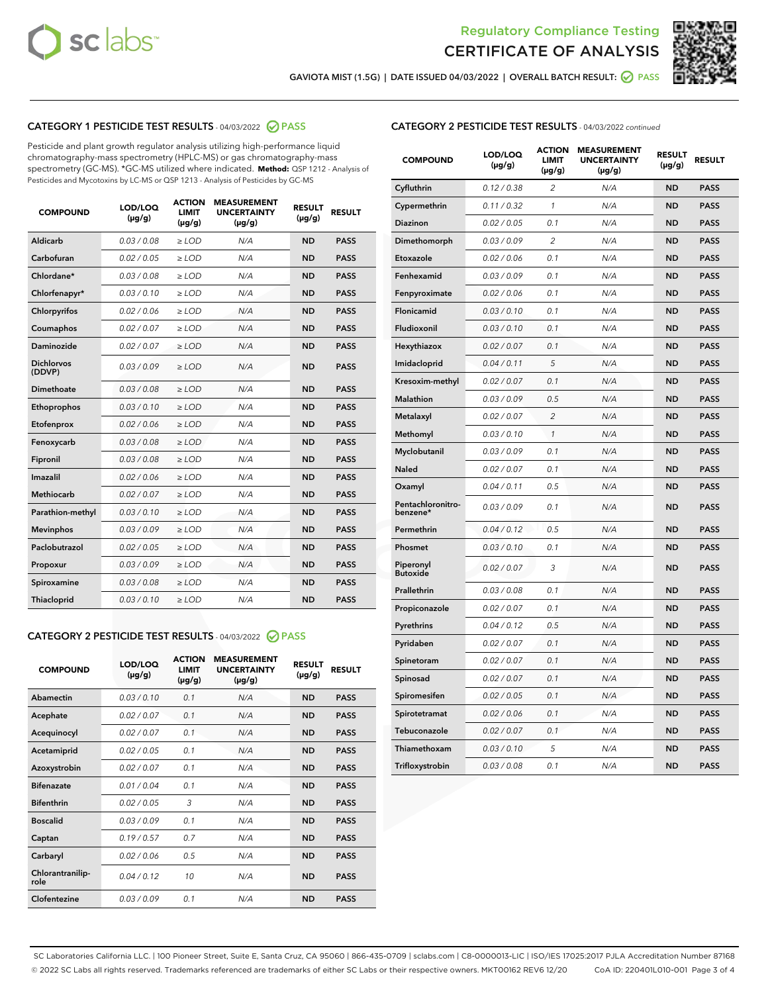



GAVIOTA MIST (1.5G) | DATE ISSUED 04/03/2022 | OVERALL BATCH RESULT: @ PASS

# CATEGORY 1 PESTICIDE TEST RESULTS - 04/03/2022 2 PASS

Pesticide and plant growth regulator analysis utilizing high-performance liquid chromatography-mass spectrometry (HPLC-MS) or gas chromatography-mass spectrometry (GC-MS). \*GC-MS utilized where indicated. **Method:** QSP 1212 - Analysis of Pesticides and Mycotoxins by LC-MS or QSP 1213 - Analysis of Pesticides by GC-MS

| 0.03 / 0.08<br><b>ND</b><br>Aldicarb<br>$\ge$ LOD<br>N/A<br><b>PASS</b><br>Carbofuran<br>0.02 / 0.05<br><b>ND</b><br><b>PASS</b><br>$>$ LOD<br>N/A<br>Chlordane*<br>0.03 / 0.08<br>N/A<br><b>ND</b><br><b>PASS</b><br>$\ge$ LOD<br>Chlorfenapyr*<br>0.03/0.10<br><b>ND</b><br><b>PASS</b><br>$\ge$ LOD<br>N/A<br>0.02/0.06<br>Chlorpyrifos<br>$>$ LOD<br>N/A<br><b>ND</b><br><b>PASS</b><br>0.02 / 0.07<br>N/A<br><b>ND</b><br>Coumaphos<br>$\ge$ LOD<br><b>PASS</b><br>Daminozide<br>0.02 / 0.07<br>N/A<br><b>ND</b><br><b>PASS</b><br>$\ge$ LOD<br><b>Dichlorvos</b><br>0.03/0.09<br>N/A<br><b>ND</b><br>$\ge$ LOD<br><b>PASS</b><br>(DDVP)<br>Dimethoate<br>0.03/0.08<br>N/A<br><b>ND</b><br><b>PASS</b><br>$>$ LOD<br>Ethoprophos<br>0.03/0.10<br>$\ge$ LOD<br>N/A<br><b>ND</b><br><b>PASS</b><br>Etofenprox<br>0.02 / 0.06<br>N/A<br><b>ND</b><br><b>PASS</b><br>$>$ LOD<br>0.03/0.08<br>N/A<br><b>ND</b><br>$>$ LOD<br><b>PASS</b><br>Fenoxycarb<br>0.03/0.08<br>$\ge$ LOD<br>N/A<br><b>ND</b><br><b>PASS</b><br>Fipronil<br>Imazalil<br>0.02/0.06<br>$>$ LOD<br>N/A<br><b>ND</b><br><b>PASS</b><br><b>Methiocarb</b><br>0.02 / 0.07<br><b>ND</b><br><b>PASS</b><br>$\ge$ LOD<br>N/A<br>Parathion-methyl<br>0.03/0.10<br>N/A<br><b>ND</b><br><b>PASS</b><br>$\ge$ LOD<br>0.03/0.09<br>N/A<br><b>ND</b><br><b>PASS</b><br><b>Mevinphos</b><br>$>$ LOD<br>Paclobutrazol<br>0.02 / 0.05<br>N/A<br><b>ND</b><br><b>PASS</b><br>$\geq$ LOD<br>0.03/0.09<br>$>$ LOD<br>N/A<br><b>ND</b><br><b>PASS</b><br>Propoxur<br>0.03 / 0.08<br>$\ge$ LOD<br>N/A<br><b>ND</b><br><b>PASS</b><br>Spiroxamine<br>0.03/0.10<br>N/A<br><b>ND</b><br><b>PASS</b><br>Thiacloprid<br>$\ge$ LOD | <b>COMPOUND</b> | LOD/LOQ<br>$(\mu g/g)$ | <b>ACTION</b><br>LIMIT<br>$(\mu g/g)$ | <b>MEASUREMENT</b><br><b>UNCERTAINTY</b><br>$(\mu g/g)$ | <b>RESULT</b><br>$(\mu g/g)$ | <b>RESULT</b> |
|------------------------------------------------------------------------------------------------------------------------------------------------------------------------------------------------------------------------------------------------------------------------------------------------------------------------------------------------------------------------------------------------------------------------------------------------------------------------------------------------------------------------------------------------------------------------------------------------------------------------------------------------------------------------------------------------------------------------------------------------------------------------------------------------------------------------------------------------------------------------------------------------------------------------------------------------------------------------------------------------------------------------------------------------------------------------------------------------------------------------------------------------------------------------------------------------------------------------------------------------------------------------------------------------------------------------------------------------------------------------------------------------------------------------------------------------------------------------------------------------------------------------------------------------------------------------------------------------------------------------------------------------------------------------------|-----------------|------------------------|---------------------------------------|---------------------------------------------------------|------------------------------|---------------|
|                                                                                                                                                                                                                                                                                                                                                                                                                                                                                                                                                                                                                                                                                                                                                                                                                                                                                                                                                                                                                                                                                                                                                                                                                                                                                                                                                                                                                                                                                                                                                                                                                                                                              |                 |                        |                                       |                                                         |                              |               |
|                                                                                                                                                                                                                                                                                                                                                                                                                                                                                                                                                                                                                                                                                                                                                                                                                                                                                                                                                                                                                                                                                                                                                                                                                                                                                                                                                                                                                                                                                                                                                                                                                                                                              |                 |                        |                                       |                                                         |                              |               |
|                                                                                                                                                                                                                                                                                                                                                                                                                                                                                                                                                                                                                                                                                                                                                                                                                                                                                                                                                                                                                                                                                                                                                                                                                                                                                                                                                                                                                                                                                                                                                                                                                                                                              |                 |                        |                                       |                                                         |                              |               |
|                                                                                                                                                                                                                                                                                                                                                                                                                                                                                                                                                                                                                                                                                                                                                                                                                                                                                                                                                                                                                                                                                                                                                                                                                                                                                                                                                                                                                                                                                                                                                                                                                                                                              |                 |                        |                                       |                                                         |                              |               |
|                                                                                                                                                                                                                                                                                                                                                                                                                                                                                                                                                                                                                                                                                                                                                                                                                                                                                                                                                                                                                                                                                                                                                                                                                                                                                                                                                                                                                                                                                                                                                                                                                                                                              |                 |                        |                                       |                                                         |                              |               |
|                                                                                                                                                                                                                                                                                                                                                                                                                                                                                                                                                                                                                                                                                                                                                                                                                                                                                                                                                                                                                                                                                                                                                                                                                                                                                                                                                                                                                                                                                                                                                                                                                                                                              |                 |                        |                                       |                                                         |                              |               |
|                                                                                                                                                                                                                                                                                                                                                                                                                                                                                                                                                                                                                                                                                                                                                                                                                                                                                                                                                                                                                                                                                                                                                                                                                                                                                                                                                                                                                                                                                                                                                                                                                                                                              |                 |                        |                                       |                                                         |                              |               |
|                                                                                                                                                                                                                                                                                                                                                                                                                                                                                                                                                                                                                                                                                                                                                                                                                                                                                                                                                                                                                                                                                                                                                                                                                                                                                                                                                                                                                                                                                                                                                                                                                                                                              |                 |                        |                                       |                                                         |                              |               |
|                                                                                                                                                                                                                                                                                                                                                                                                                                                                                                                                                                                                                                                                                                                                                                                                                                                                                                                                                                                                                                                                                                                                                                                                                                                                                                                                                                                                                                                                                                                                                                                                                                                                              |                 |                        |                                       |                                                         |                              |               |
|                                                                                                                                                                                                                                                                                                                                                                                                                                                                                                                                                                                                                                                                                                                                                                                                                                                                                                                                                                                                                                                                                                                                                                                                                                                                                                                                                                                                                                                                                                                                                                                                                                                                              |                 |                        |                                       |                                                         |                              |               |
|                                                                                                                                                                                                                                                                                                                                                                                                                                                                                                                                                                                                                                                                                                                                                                                                                                                                                                                                                                                                                                                                                                                                                                                                                                                                                                                                                                                                                                                                                                                                                                                                                                                                              |                 |                        |                                       |                                                         |                              |               |
|                                                                                                                                                                                                                                                                                                                                                                                                                                                                                                                                                                                                                                                                                                                                                                                                                                                                                                                                                                                                                                                                                                                                                                                                                                                                                                                                                                                                                                                                                                                                                                                                                                                                              |                 |                        |                                       |                                                         |                              |               |
|                                                                                                                                                                                                                                                                                                                                                                                                                                                                                                                                                                                                                                                                                                                                                                                                                                                                                                                                                                                                                                                                                                                                                                                                                                                                                                                                                                                                                                                                                                                                                                                                                                                                              |                 |                        |                                       |                                                         |                              |               |
|                                                                                                                                                                                                                                                                                                                                                                                                                                                                                                                                                                                                                                                                                                                                                                                                                                                                                                                                                                                                                                                                                                                                                                                                                                                                                                                                                                                                                                                                                                                                                                                                                                                                              |                 |                        |                                       |                                                         |                              |               |
|                                                                                                                                                                                                                                                                                                                                                                                                                                                                                                                                                                                                                                                                                                                                                                                                                                                                                                                                                                                                                                                                                                                                                                                                                                                                                                                                                                                                                                                                                                                                                                                                                                                                              |                 |                        |                                       |                                                         |                              |               |
|                                                                                                                                                                                                                                                                                                                                                                                                                                                                                                                                                                                                                                                                                                                                                                                                                                                                                                                                                                                                                                                                                                                                                                                                                                                                                                                                                                                                                                                                                                                                                                                                                                                                              |                 |                        |                                       |                                                         |                              |               |
|                                                                                                                                                                                                                                                                                                                                                                                                                                                                                                                                                                                                                                                                                                                                                                                                                                                                                                                                                                                                                                                                                                                                                                                                                                                                                                                                                                                                                                                                                                                                                                                                                                                                              |                 |                        |                                       |                                                         |                              |               |
|                                                                                                                                                                                                                                                                                                                                                                                                                                                                                                                                                                                                                                                                                                                                                                                                                                                                                                                                                                                                                                                                                                                                                                                                                                                                                                                                                                                                                                                                                                                                                                                                                                                                              |                 |                        |                                       |                                                         |                              |               |
|                                                                                                                                                                                                                                                                                                                                                                                                                                                                                                                                                                                                                                                                                                                                                                                                                                                                                                                                                                                                                                                                                                                                                                                                                                                                                                                                                                                                                                                                                                                                                                                                                                                                              |                 |                        |                                       |                                                         |                              |               |
|                                                                                                                                                                                                                                                                                                                                                                                                                                                                                                                                                                                                                                                                                                                                                                                                                                                                                                                                                                                                                                                                                                                                                                                                                                                                                                                                                                                                                                                                                                                                                                                                                                                                              |                 |                        |                                       |                                                         |                              |               |
|                                                                                                                                                                                                                                                                                                                                                                                                                                                                                                                                                                                                                                                                                                                                                                                                                                                                                                                                                                                                                                                                                                                                                                                                                                                                                                                                                                                                                                                                                                                                                                                                                                                                              |                 |                        |                                       |                                                         |                              |               |

# CATEGORY 2 PESTICIDE TEST RESULTS - 04/03/2022 @ PASS

| <b>COMPOUND</b>          | LOD/LOQ<br>$(\mu g/g)$ | <b>ACTION</b><br><b>LIMIT</b><br>$(\mu g/g)$ | <b>MEASUREMENT</b><br><b>UNCERTAINTY</b><br>$(\mu g/g)$ | <b>RESULT</b><br>$(\mu g/g)$ | <b>RESULT</b> |
|--------------------------|------------------------|----------------------------------------------|---------------------------------------------------------|------------------------------|---------------|
| Abamectin                | 0.03/0.10              | 0.1                                          | N/A                                                     | <b>ND</b>                    | <b>PASS</b>   |
| Acephate                 | 0.02/0.07              | 0.1                                          | N/A                                                     | <b>ND</b>                    | <b>PASS</b>   |
| Acequinocyl              | 0.02/0.07              | 0.1                                          | N/A                                                     | <b>ND</b>                    | <b>PASS</b>   |
| Acetamiprid              | 0.02/0.05              | 0.1                                          | N/A                                                     | <b>ND</b>                    | <b>PASS</b>   |
| Azoxystrobin             | 0.02 / 0.07            | 0.1                                          | N/A                                                     | <b>ND</b>                    | <b>PASS</b>   |
| <b>Bifenazate</b>        | 0.01/0.04              | 0.1                                          | N/A                                                     | <b>ND</b>                    | <b>PASS</b>   |
| <b>Bifenthrin</b>        | 0.02 / 0.05            | 3                                            | N/A                                                     | <b>ND</b>                    | <b>PASS</b>   |
| <b>Boscalid</b>          | 0.03/0.09              | 0.1                                          | N/A                                                     | <b>ND</b>                    | <b>PASS</b>   |
| Captan                   | 0.19/0.57              | 0.7                                          | N/A                                                     | <b>ND</b>                    | <b>PASS</b>   |
| Carbaryl                 | 0.02/0.06              | 0.5                                          | N/A                                                     | <b>ND</b>                    | <b>PASS</b>   |
| Chlorantranilip-<br>role | 0.04/0.12              | 10                                           | N/A                                                     | <b>ND</b>                    | <b>PASS</b>   |
| Clofentezine             | 0.03/0.09              | 0.1                                          | N/A                                                     | <b>ND</b>                    | <b>PASS</b>   |

# CATEGORY 2 PESTICIDE TEST RESULTS - 04/03/2022 continued

| <b>COMPOUND</b>               | LOD/LOQ<br>(µg/g) | <b>ACTION</b><br><b>LIMIT</b><br>(µg/g) | <b>MEASUREMENT</b><br><b>UNCERTAINTY</b><br>$(\mu g/g)$ | <b>RESULT</b><br>(µg/g) | <b>RESULT</b> |
|-------------------------------|-------------------|-----------------------------------------|---------------------------------------------------------|-------------------------|---------------|
| Cyfluthrin                    | 0.12 / 0.38       | $\overline{c}$                          | N/A                                                     | <b>ND</b>               | <b>PASS</b>   |
| Cypermethrin                  | 0.11 / 0.32       | $\mathcal{I}$                           | N/A                                                     | <b>ND</b>               | <b>PASS</b>   |
| <b>Diazinon</b>               | 0.02 / 0.05       | 0.1                                     | N/A                                                     | <b>ND</b>               | <b>PASS</b>   |
| Dimethomorph                  | 0.03 / 0.09       | 2                                       | N/A                                                     | <b>ND</b>               | <b>PASS</b>   |
| Etoxazole                     | 0.02 / 0.06       | 0.1                                     | N/A                                                     | <b>ND</b>               | <b>PASS</b>   |
| Fenhexamid                    | 0.03 / 0.09       | 0.1                                     | N/A                                                     | <b>ND</b>               | <b>PASS</b>   |
| Fenpyroximate                 | 0.02 / 0.06       | 0.1                                     | N/A                                                     | <b>ND</b>               | <b>PASS</b>   |
| Flonicamid                    | 0.03 / 0.10       | 0.1                                     | N/A                                                     | <b>ND</b>               | <b>PASS</b>   |
| Fludioxonil                   | 0.03 / 0.10       | 0.1                                     | N/A                                                     | <b>ND</b>               | <b>PASS</b>   |
| Hexythiazox                   | 0.02 / 0.07       | 0.1                                     | N/A                                                     | <b>ND</b>               | <b>PASS</b>   |
| Imidacloprid                  | 0.04 / 0.11       | 5                                       | N/A                                                     | <b>ND</b>               | <b>PASS</b>   |
| Kresoxim-methyl               | 0.02 / 0.07       | 0.1                                     | N/A                                                     | <b>ND</b>               | <b>PASS</b>   |
| <b>Malathion</b>              | 0.03 / 0.09       | 0.5                                     | N/A                                                     | <b>ND</b>               | <b>PASS</b>   |
| Metalaxyl                     | 0.02 / 0.07       | $\overline{c}$                          | N/A                                                     | <b>ND</b>               | <b>PASS</b>   |
| Methomyl                      | 0.03 / 0.10       | 1                                       | N/A                                                     | <b>ND</b>               | <b>PASS</b>   |
| Myclobutanil                  | 0.03 / 0.09       | 0.1                                     | N/A                                                     | <b>ND</b>               | <b>PASS</b>   |
| Naled                         | 0.02 / 0.07       | 0.1                                     | N/A                                                     | <b>ND</b>               | <b>PASS</b>   |
| Oxamyl                        | 0.04 / 0.11       | 0.5                                     | N/A                                                     | <b>ND</b>               | <b>PASS</b>   |
| Pentachloronitro-<br>benzene* | 0.03 / 0.09       | 0.1                                     | N/A                                                     | <b>ND</b>               | <b>PASS</b>   |
| Permethrin                    | 0.04 / 0.12       | 0.5                                     | N/A                                                     | <b>ND</b>               | <b>PASS</b>   |
| Phosmet                       | 0.03 / 0.10       | 0.1                                     | N/A                                                     | <b>ND</b>               | <b>PASS</b>   |
| Piperonyl<br><b>Butoxide</b>  | 0.02 / 0.07       | 3                                       | N/A                                                     | <b>ND</b>               | <b>PASS</b>   |
| Prallethrin                   | 0.03 / 0.08       | 0.1                                     | N/A                                                     | <b>ND</b>               | <b>PASS</b>   |
| Propiconazole                 | 0.02 / 0.07       | 0.1                                     | N/A                                                     | <b>ND</b>               | <b>PASS</b>   |
| Pyrethrins                    | 0.04 / 0.12       | 0.5                                     | N/A                                                     | <b>ND</b>               | <b>PASS</b>   |
| Pyridaben                     | 0.02 / 0.07       | 0.1                                     | N/A                                                     | <b>ND</b>               | <b>PASS</b>   |
| Spinetoram                    | 0.02 / 0.07       | 0.1                                     | N/A                                                     | <b>ND</b>               | <b>PASS</b>   |
| Spinosad                      | 0.02 / 0.07       | 0.1                                     | N/A                                                     | <b>ND</b>               | <b>PASS</b>   |
| Spiromesifen                  | 0.02 / 0.05       | 0.1                                     | N/A                                                     | <b>ND</b>               | <b>PASS</b>   |
| Spirotetramat                 | 0.02 / 0.06       | 0.1                                     | N/A                                                     | <b>ND</b>               | <b>PASS</b>   |
| Tebuconazole                  | 0.02 / 0.07       | 0.1                                     | N/A                                                     | <b>ND</b>               | <b>PASS</b>   |
| Thiamethoxam                  | 0.03 / 0.10       | 5                                       | N/A                                                     | <b>ND</b>               | <b>PASS</b>   |
| Trifloxystrobin               | 0.03 / 0.08       | 0.1                                     | N/A                                                     | <b>ND</b>               | <b>PASS</b>   |

SC Laboratories California LLC. | 100 Pioneer Street, Suite E, Santa Cruz, CA 95060 | 866-435-0709 | sclabs.com | C8-0000013-LIC | ISO/IES 17025:2017 PJLA Accreditation Number 87168 © 2022 SC Labs all rights reserved. Trademarks referenced are trademarks of either SC Labs or their respective owners. MKT00162 REV6 12/20 CoA ID: 220401L010-001 Page 3 of 4